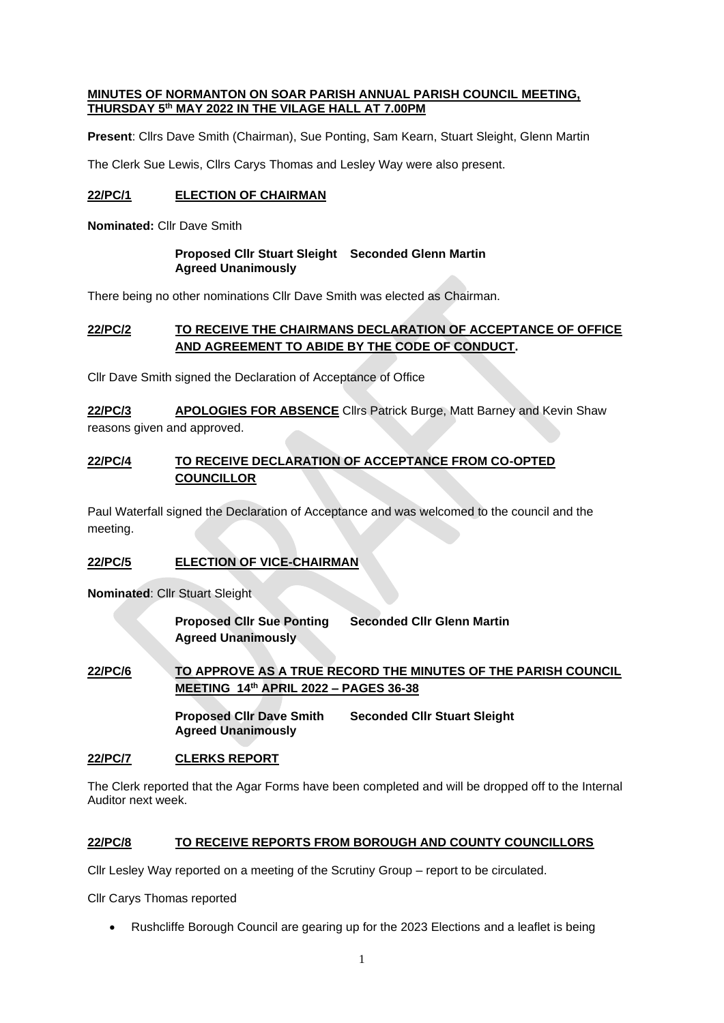#### **MINUTES OF NORMANTON ON SOAR PARISH ANNUAL PARISH COUNCIL MEETING, THURSDAY 5th MAY 2022 IN THE VILAGE HALL AT 7.00PM**

**Present**: Cllrs Dave Smith (Chairman), Sue Ponting, Sam Kearn, Stuart Sleight, Glenn Martin

The Clerk Sue Lewis, Cllrs Carys Thomas and Lesley Way were also present.

# **22/PC/1 ELECTION OF CHAIRMAN**

**Nominated:** Cllr Dave Smith

#### **Proposed Cllr Stuart Sleight Seconded Glenn Martin Agreed Unanimously**

There being no other nominations Cllr Dave Smith was elected as Chairman.

# **22/PC/2 TO RECEIVE THE CHAIRMANS DECLARATION OF ACCEPTANCE OF OFFICE AND AGREEMENT TO ABIDE BY THE CODE OF CONDUCT.**

Cllr Dave Smith signed the Declaration of Acceptance of Office

**22/PC/3 APOLOGIES FOR ABSENCE** Cllrs Patrick Burge, Matt Barney and Kevin Shaw reasons given and approved.

# **22/PC/4 TO RECEIVE DECLARATION OF ACCEPTANCE FROM CO-OPTED COUNCILLOR**

Paul Waterfall signed the Declaration of Acceptance and was welcomed to the council and the meeting.

# **22/PC/5 ELECTION OF VICE-CHAIRMAN**

**Nominated**: Cllr Stuart Sleight

**Proposed Cllr Sue Ponting Seconded Cllr Glenn Martin Agreed Unanimously**

**22/PC/6 TO APPROVE AS A TRUE RECORD THE MINUTES OF THE PARISH COUNCIL MEETING 14th APRIL 2022 – PAGES 36-38**

> **Proposed Cllr Dave Smith Seconded Cllr Stuart Sleight Agreed Unanimously**

# **22/PC/7 CLERKS REPORT**

The Clerk reported that the Agar Forms have been completed and will be dropped off to the Internal Auditor next week.

# **22/PC/8 TO RECEIVE REPORTS FROM BOROUGH AND COUNTY COUNCILLORS**

Cllr Lesley Way reported on a meeting of the Scrutiny Group – report to be circulated.

Cllr Carys Thomas reported

• Rushcliffe Borough Council are gearing up for the 2023 Elections and a leaflet is being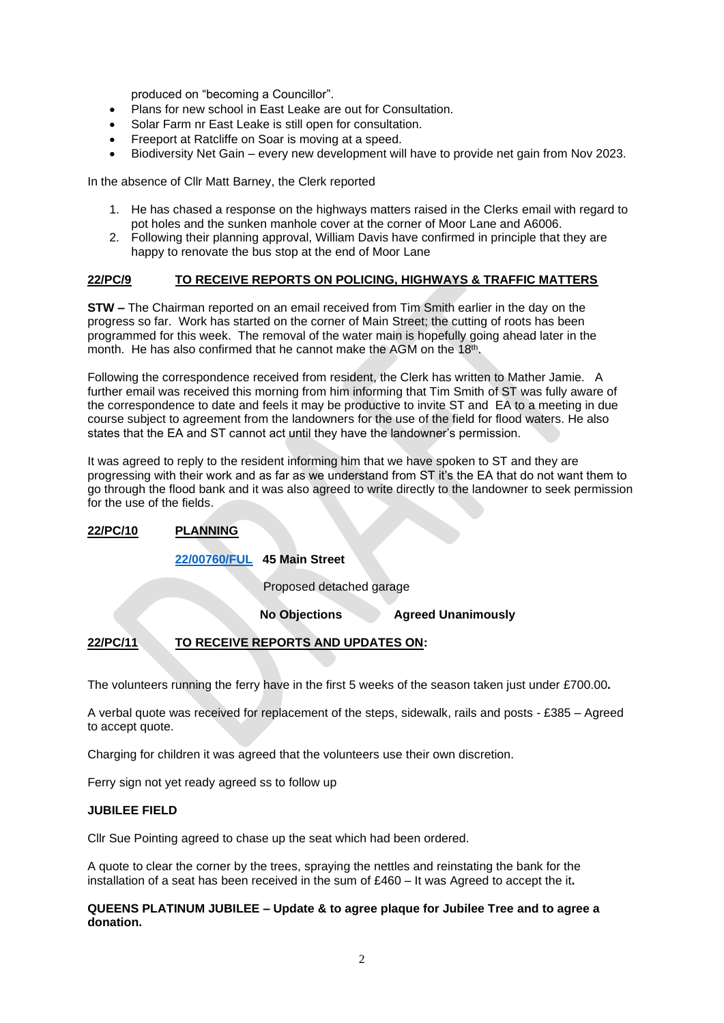produced on "becoming a Councillor".

- Plans for new school in East Leake are out for Consultation.
- Solar Farm nr East Leake is still open for consultation.
- Freeport at Ratcliffe on Soar is moving at a speed.
- Biodiversity Net Gain every new development will have to provide net gain from Nov 2023.

In the absence of Cllr Matt Barney, the Clerk reported

- 1. He has chased a response on the highways matters raised in the Clerks email with regard to pot holes and the sunken manhole cover at the corner of Moor Lane and A6006.
- 2. Following their planning approval, William Davis have confirmed in principle that they are happy to renovate the bus stop at the end of Moor Lane

#### **22/PC/9 TO RECEIVE REPORTS ON POLICING, HIGHWAYS & TRAFFIC MATTERS**

**STW –** The Chairman reported on an email received from Tim Smith earlier in the day on the progress so far. Work has started on the corner of Main Street; the cutting of roots has been programmed for this week. The removal of the water main is hopefully going ahead later in the month. He has also confirmed that he cannot make the AGM on the 18<sup>th</sup>.

Following the correspondence received from resident, the Clerk has written to Mather Jamie. A further email was received this morning from him informing that Tim Smith of ST was fully aware of the correspondence to date and feels it may be productive to invite ST and EA to a meeting in due course subject to agreement from the landowners for the use of the field for flood waters. He also states that the EA and ST cannot act until they have the landowner's permission.

It was agreed to reply to the resident informing him that we have spoken to ST and they are progressing with their work and as far as we understand from ST it's the EA that do not want them to go through the flood bank and it was also agreed to write directly to the landowner to seek permission for the use of the fields.

# **22/PC/10 PLANNING**

# **[22/00760/FUL](https://planningon-line.rushcliffe.gov.uk/online-applications/simpleSearchResults.do?action=firstPage) 45 Main Street**

Proposed detached garage

**No Objections Agreed Unanimously**

# **22/PC/11 TO RECEIVE REPORTS AND UPDATES ON:**

The volunteers running the ferry have in the first 5 weeks of the season taken just under £700.00**.**

A verbal quote was received for replacement of the steps, sidewalk, rails and posts - £385 – Agreed to accept quote.

Charging for children it was agreed that the volunteers use their own discretion.

Ferry sign not yet ready agreed ss to follow up

#### **JUBILEE FIELD**

Cllr Sue Pointing agreed to chase up the seat which had been ordered.

A quote to clear the corner by the trees, spraying the nettles and reinstating the bank for the installation of a seat has been received in the sum of £460 – It was Agreed to accept the it**.**

#### **QUEENS PLATINUM JUBILEE – Update & to agree plaque for Jubilee Tree and to agree a donation.**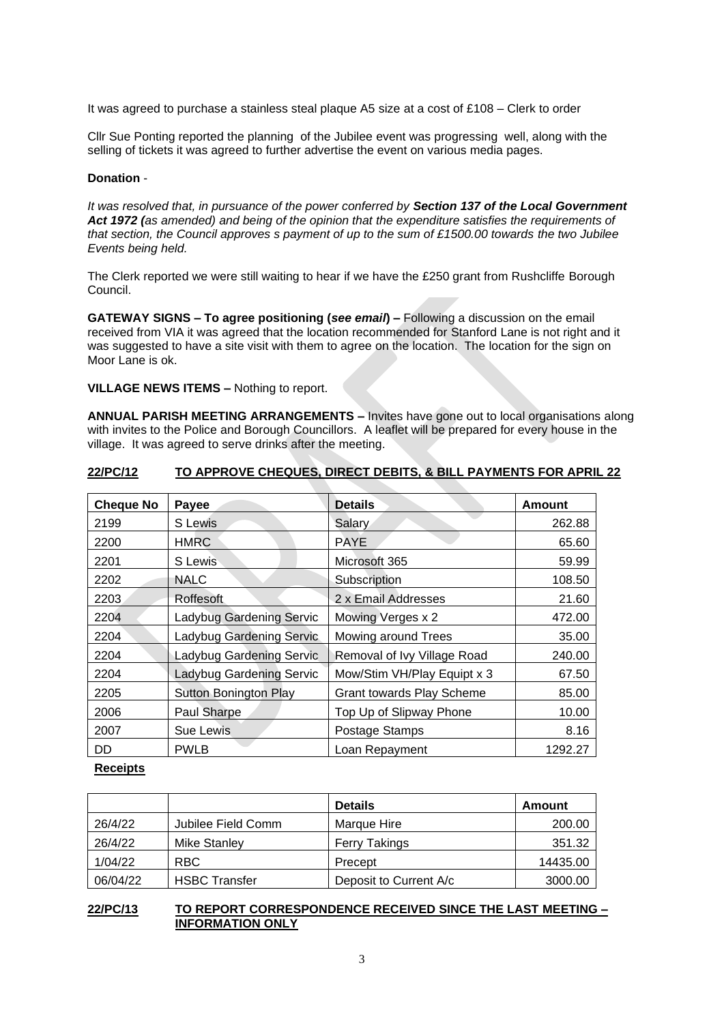It was agreed to purchase a stainless steal plaque A5 size at a cost of £108 – Clerk to order

Cllr Sue Ponting reported the planning of the Jubilee event was progressing well, along with the selling of tickets it was agreed to further advertise the event on various media pages.

#### **Donation** -

*It was resolved that, in pursuance of the power conferred by Section 137 of the Local Government Act 1972 (as amended) and being of the opinion that the expenditure satisfies the requirements of that section, the Council approves s payment of up to the sum of £1500.00 towards the two Jubilee Events being held.*

The Clerk reported we were still waiting to hear if we have the £250 grant from Rushcliffe Borough Council.

**GATEWAY SIGNS – To agree positioning (***see email***) –** Following a discussion on the email received from VIA it was agreed that the location recommended for Stanford Lane is not right and it was suggested to have a site visit with them to agree on the location. The location for the sign on Moor Lane is ok.

**VILLAGE NEWS ITEMS –** Nothing to report.

**ANNUAL PARISH MEETING ARRANGEMENTS –** Invites have gone out to local organisations along with invites to the Police and Borough Councillors. A leaflet will be prepared for every house in the village. It was agreed to serve drinks after the meeting.

| <b>Cheque No</b> | Payee                    | <b>Details</b>                   | Amount  |
|------------------|--------------------------|----------------------------------|---------|
| 2199             | S Lewis                  | Salary                           | 262.88  |
| 2200             | <b>HMRC</b>              | <b>PAYE</b>                      | 65.60   |
| 2201             | S Lewis                  | Microsoft 365                    | 59.99   |
| 2202             | <b>NALC</b>              | Subscription                     | 108.50  |
| 2203             | Roffesoft                | 2 x Email Addresses              | 21.60   |
| 2204             | Ladybug Gardening Servic | Mowing Verges x 2                | 472.00  |
| 2204             | Ladybug Gardening Servic | Mowing around Trees              | 35.00   |
| 2204             | Ladybug Gardening Servic | Removal of Ivy Village Road      | 240.00  |
| 2204             | Ladybug Gardening Servic | Mow/Stim VH/Play Equipt x 3      | 67.50   |
| 2205             | Sutton Bonington Play    | <b>Grant towards Play Scheme</b> | 85.00   |
| 2006             | Paul Sharpe              | Top Up of Slipway Phone          | 10.00   |
| 2007             | Sue Lewis                | Postage Stamps                   | 8.16    |
| DD               | <b>PWLB</b>              | Loan Repayment                   | 1292.27 |

# **22/PC/12 TO APPROVE CHEQUES, DIRECT DEBITS, & BILL PAYMENTS FOR APRIL 22**

# **Receipts**

|          |                      | <b>Details</b>         | Amount   |
|----------|----------------------|------------------------|----------|
| 26/4/22  | Jubilee Field Comm   | Marque Hire            | 200.00   |
| 26/4/22  | Mike Stanley         | Ferry Takings          | 351.32   |
| 1/04/22  | RBC.                 | Precept                | 14435.00 |
| 06/04/22 | <b>HSBC Transfer</b> | Deposit to Current A/c | 3000.00  |

# **22/PC/13 TO REPORT CORRESPONDENCE RECEIVED SINCE THE LAST MEETING – INFORMATION ONLY**